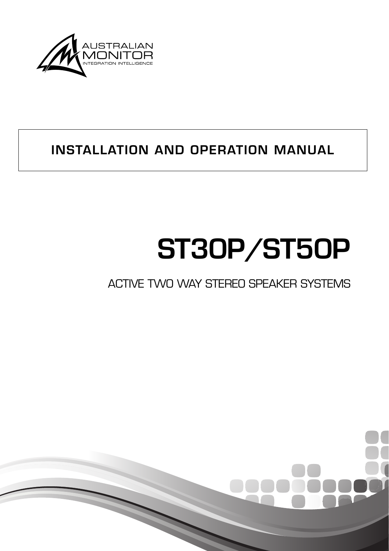

# **INSTALLATION AND OPERATION MANUAL**

# **ST30P/ST50P**

# ACTIVE TWO WAY STEREO SPEAKER SYSTEMS

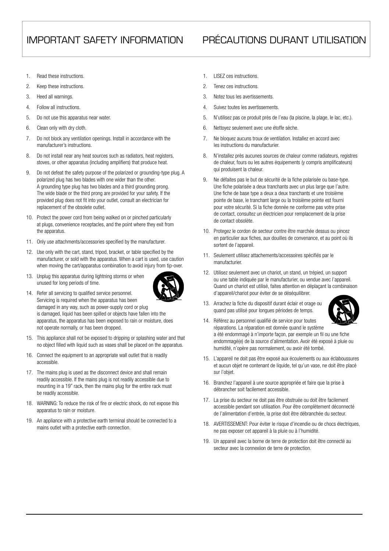#### IMPORTANT SAFETY INFORMATION PRÉCAUTIONS DURANT UTILISATION

- 1. Read these instructions.
- 2. Keen these instructions.
- 3. Heed all warnings.
- 4. Follow all instructions.
- 5. Do not use this apparatus near water.
- 6. Clean only with dry cloth.
- 7. Do not block any ventilation openings. Install in accordance with the manufacturer's instructions.
- 8. Do not install near any heat sources such as radiators, heat registers, stoves, or other apparatus (including amplifiers) that produce heat.
- 9. Do not defeat the safety purpose of the polarized or grounding-type plug. A polarized plug has two blades with one wider than the other. A grounding type plug has two blades and a third grounding prong. The wide blade or the third prong are provided for your safety. If the provided plug does not fit into your outlet, consult an electrician for replacement of the obsolete outlet.
- 10. Protect the power cord from being walked on or pinched particularly at plugs, convenience receptacles, and the point where they exit from the apparatus.
- 11. Only use attachments/accessories specified by the manufacturer.
- 12. Use only with the cart, stand, tripod, bracket, or table specified by the manufacturer, or sold with the apparatus. When a cart is used, use caution when moving the cart/apparatus combination to avoid injury from tip-over.
- 13. Unplug this apparatus during lightning storms or when unused for long periods of time.



- 14. Refer all servicing to qualified service personnel. Servicing is required when the apparatus has been damaged in any way, such as power-supply cord or plug is damaged, liquid has been spilled or objects have fallen into the apparatus, the apparatus has been exposed to rain or moisture, does not operate normally, or has been dropped.
- 15. This appliance shall not be exposed to dripping or splashing water and that no object filled with liquid such as vases shall be placed on the apparatus.
- 16. Connect the equipment to an appropriate wall outlet that is readily accessible.
- 17. The mains plug is used as the disconnect device and shall remain readily accessible. If the mains plug is not readily accessible due to mounting in a 19" rack, then the mains plug for the entire rack must be readily accessible.
- 18. WARNING: To reduce the risk of fire or electric shock, do not expose this apparatus to rain or moisture.
- 19. An appliance with a protective earth terminal should be connected to a mains outlet with a protective earth connection.
- 1. LISEZ ces instructions.
- 2. Tenez ces instructions.
- 3. Notez tous les avertissements.
- 4. Suivez toutes les avertissements.
- 5. N'utilisez pas ce produit près de l'eau (la piscine, la plage, le lac, etc.).
- 6. Nettoyez seulement avec une étoffe sèche.
- 7. Ne bloquez aucuns troux de ventilation. Installez en accord avec les instructions du manufacturier.
- 8. N'installez près aucunes sources de chaleur comme radiateurs, registres de chaleur, fours ou les autres équipements (y compris amplificateurs) qui produisent la chaleur.
- 9. Ne défaites pas le but de sécurité de la fiche polarisée ou base-type. Une fiche polarisée a deux tranchants avec un plus large que l'autre. Une fiche de base type a deux a deux tranchants et une troisième pointe de base, le tranchant large ou la troisième pointe est fourni pour votre sécurité. Si la fiche donnée ne conforme pas votre prise de contact, consultez un électricien pour remplacement de la prise de contact obsolète.
- 10. Protegez le cordon de secteur contre être marchée dessus ou pincez en particulier aux fiches, aux douilles de convenance, et au point où ils sortent de l'appareil.
- 11. Seulement utilisez attachements/accessoires spécifiés par le manufacturier.
- 12. Utilisez seulement avec un chariot, un stand, un trépied, un support ou une table indiquée par le manufacturier, ou vendue avec l'appareil. Quand un chariot est utilisé, faites attention en déplaçant la combinaison d'appareil/chariot pour éviter de se déséquilibrer.
- 13. Arrachez la fiche du dispositif durant éclair et orage ou quand pas utilisé pour longues périodes de temps.



- 14. Référez au personnel qualifié de service pour toutes réparations. La réparation est donnée quand le système a été endommagé à n'importe façon, par exemple un fil ou une fiche endommagé(e) de la source d'alimentation. Avoir été exposé à pluie ou humidité, n'opère pas normalement, ou avoir été tombé.
- 15. L'appareil ne doit pas être exposé aux écoulements ou aux éclaboussures et aucun objet ne contenant de liquide, tel qu'un vase, ne doit être placé sur l'objet.
- 16. Branchez l'appareil à une source appropriée et faire que la prise à débrancher soit facilement accessible.
- 17. La prise du secteur ne doit pas être obstruée ou doit être facilement accessible pendant son utilisation. Pour être complètement déconnecté de l'alimentation d'entrée, la prise doit être débranchée du secteur.
- 18. AVERTISSEMENT: Pour éviter le risque d'incendie ou de chocs électriques, ne pas exposer cet appareil à la pluie ou à l'humidité.
- 19. Un appareil avec la borne de terre de protection doit être connecté au secteur avec la connexiion de terre de protection.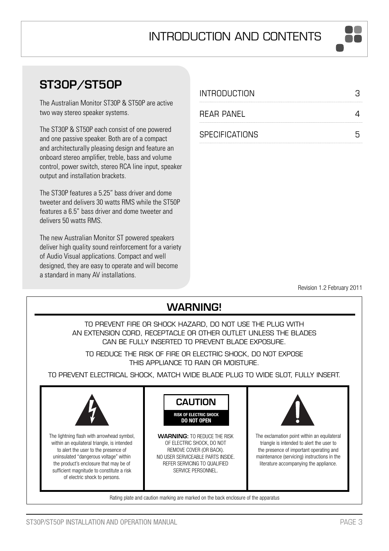# **ST30P/ST50P**

The Australian Monitor ST30P & ST50P are active two way stereo speaker systems.

The ST30P & ST50P each consist of one powered and one passive speaker. Both are of a compact and architecturally pleasing design and feature an onboard stereo amplifier, treble, bass and volume control, power switch, stereo RCA line input, speaker output and installation brackets.

The ST30P features a 5.25" bass driver and dome tweeter and delivers 30 watts RMS while the ST50P features a 6.5" bass driver and dome tweeter and delivers 50 watts RMS.

The new Australian Monitor ST powered speakers deliver high quality sound reinforcement for a variety of Audio Visual applications. Compact and well designed, they are easy to operate and will become a standard in many AV installations.

| <b>INTRODUCTION</b>   |   |
|-----------------------|---|
| RFAR PANFI            |   |
| <b>SPECIFICATIONS</b> | հ |

Revision 1.2 February 2011

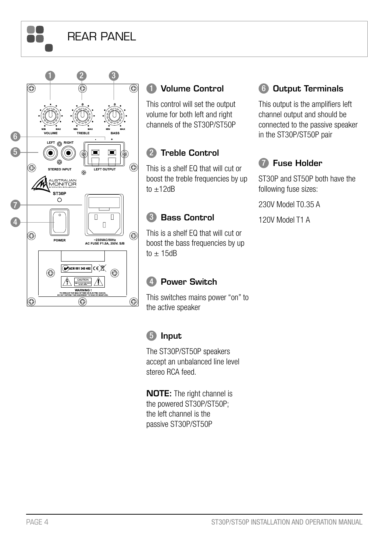# REAR PANEL

a a **AA** 



#### 1 **Volume Control**

This control will set the output volume for both left and right channels of the ST30P/ST50P

#### 2 **Treble Control**

This is a shelf EQ that will cut or boost the treble frequencies by up  $t_0 + 12dR$ 

#### 3 **Bass Control**

This is a shelf EQ that will cut or boost the bass frequencies by up to  $\pm$  15dB

#### 4 **Power Switch**

This switches mains power "on" to the active speaker

### 5 **Input**

The ST30P/ST50P speakers accept an unbalanced line level stereo RCA feed.

**NOTE:** The right channel is the powered ST30P/ST50P; the left channel is the passive ST30P/ST50P

#### 6 **Output Terminals**

This output is the amplifiers left channel output and should be connected to the passive speaker in the ST30P/ST50P pair

# 7 **Fuse Holder**

ST30P and ST50P both have the following fuse sizes:

230V Model T0.35 A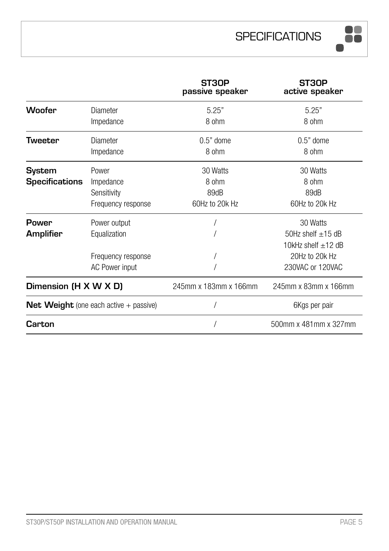

|                                                 |                    | ST30P<br>passive speaker | ST30P<br>active speaker |  |
|-------------------------------------------------|--------------------|--------------------------|-------------------------|--|
| <b>Woofer</b>                                   | Diameter           | 5.25"                    | 5.25"                   |  |
|                                                 | Impedance          | 8 ohm                    | 8 ohm                   |  |
| Tweeter                                         | Diameter           | $0.5"$ dome              | $0.5"$ dome             |  |
|                                                 | Impedance          | 8 ohm                    | 8 ohm                   |  |
| <b>System</b><br>Power                          |                    | 30 Watts                 | 30 Watts                |  |
| <b>Specifications</b>                           | Impedance          | 8 ohm                    | 8 ohm                   |  |
|                                                 | Sensitivity        | 89dB                     | 89dB                    |  |
|                                                 | Frequency response | 60Hz to 20k Hz           | 60Hz to 20k Hz          |  |
| Power<br>Power output                           |                    |                          | 30 Watts                |  |
| Amplifier                                       | Equalization       |                          | 50Hz shelf $\pm$ 15 dB  |  |
|                                                 |                    |                          | 10kHz shelf $\pm$ 12 dB |  |
|                                                 | Frequency response |                          | 20Hz to 20k Hz          |  |
|                                                 | AC Power input     |                          | 230VAC or 120VAC        |  |
| Dimension (H X W X D)                           |                    | 245mm x 183mm x 166mm    | 245mm x 83mm x 166mm    |  |
| <b>Net Weight</b> (one each active $+$ passive) |                    |                          | 6Kgs per pair           |  |
| Carton                                          |                    |                          | 500mm x 481mm x 327mm   |  |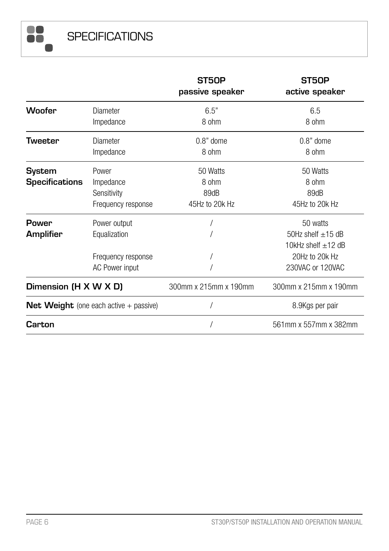**SPECIFICATIONS** 

88

|                                                 |                    | ST50P<br>passive speaker | ST50P<br>active speaker |  |
|-------------------------------------------------|--------------------|--------------------------|-------------------------|--|
| Woofer                                          | Diameter           | 6.5"                     | 6.5                     |  |
|                                                 | Impedance          | 8 ohm                    | 8 ohm                   |  |
| Tweeter                                         | Diameter           | $0.8$ " dome             | $0.8"$ dome             |  |
|                                                 | Impedance          | 8 ohm                    | 8 ohm                   |  |
| System<br>Power                                 |                    | 50 Watts                 | 50 Watts                |  |
| <b>Specifications</b>                           | Impedance          | 8 ohm                    | 8 ohm                   |  |
|                                                 | Sensitivity        | 89dB                     | 89dB                    |  |
|                                                 | Frequency response | 45Hz to 20k Hz           | 45Hz to 20k Hz          |  |
| Power<br>Power output                           |                    |                          | 50 watts                |  |
| <b>Amplifier</b>                                | Equalization       |                          | 50Hz shelf $\pm$ 15 dB  |  |
|                                                 |                    |                          | 10kHz shelf $\pm$ 12 dB |  |
|                                                 | Frequency response |                          | 20Hz to 20k Hz          |  |
|                                                 | AC Power input     |                          | 230VAC or 120VAC        |  |
| Dimension (H X W X D)                           |                    | 300mm x 215mm x 190mm    | 300mm x 215mm x 190mm   |  |
| <b>Net Weight</b> (one each active $+$ passive) |                    |                          | 8.9Kgs per pair         |  |
| Carton                                          |                    |                          | 561mm x 557mm x 382mm   |  |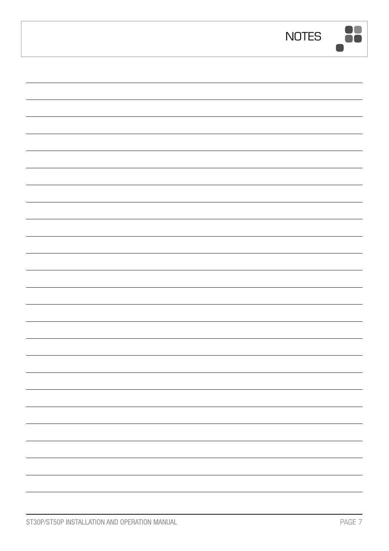| <b>NOTES</b> | $\overline{\phantom{a}}$ |
|--------------|--------------------------|
|              |                          |
|              |                          |
|              |                          |
|              |                          |
|              |                          |
|              |                          |
|              |                          |
|              |                          |
|              |                          |
|              |                          |
|              |                          |
|              |                          |
|              |                          |
|              |                          |
|              |                          |
|              |                          |
|              |                          |